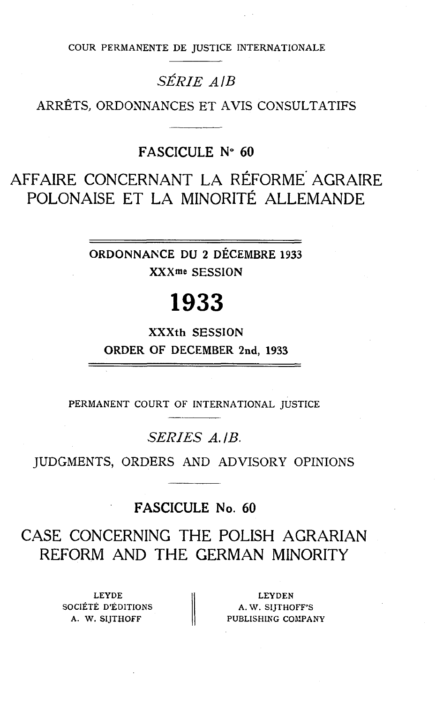COUR PERMANENTE DE JUSTICE INTERNATIONALE

# SÉRIE *A lB*

ARRÊTS, ORDONNANCES ET AVIS CONSULTATIFS

### **FASCICULE No 60**

# AFFAIRE CONCERNANT LA RÉFORME' AGRAIRE POLONAISE ET LA MINORITÉ ALLEMANDE

**ORDONNAKCE DU 2 DÉCEMBRE 1933 XXXme** SESSION

# 1933

**XXXth** SESSION **ORDER** OF **DECEMBER 2nd, 1933** 

PERMANENT COURT OF INTERNATIONAL JUSTICE

### *SEnrES A. /B.*

JUDGMENTS, ORDERS AND ADVISORY OPINIONS

**FASCICULE No. 60** 

# CASE CONCERNING THE POLISH ACRARIAN REFORM AND THE CERMAN MINORITY

LEYDE SOCIÉTÉ D'ÉDITIONS  $\|\qquad A. W. S$ IJTHOFF'S

LEYDE LEYDE LEYDEN<br>
DCIÉTÉ D'ÉDITIONS A. W. SIJTHOFF'S<br>
A. W. SIJTHOFF PUBLISHING COMPANY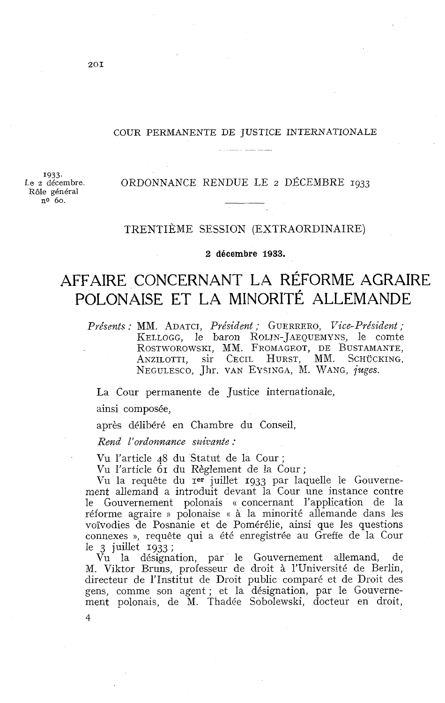### COUR PERMANENTE DE JUSTICE INTERNATIONALE

1933.<br>Le 2 décembre. Rôle g6néral **no** 60.

### Le **2** décembre. ORDONNANCE RENDUE LE 2 DÉCEMBRE **1933**

### TRENTIÈME SESSION (EXTRAORDINAIRE)

**2 décembre 1933.** 

# AFFAIRE CONCERNANT LA RÉFORME AGRAIRE POLONAISE ET LA MINORITÉ ALLEMANDE

*Pvésents* : MM. ADATCI, *Président* ; GUERRERO, *T7ice-Président* ; KELLOGG, le baron ROLIN-JAEQUEMYNS, le comte ROSTWOROWSKI, MM. FROMAGEOT, DE BUSTAMANTE, ANZILOTTI, SIT CECIL HURST, MM. SCHÜCKING, NEGULESCO, Jhr. VAN EYSINGA, M. WANG, *juges*.

La Cour permanente de Justice internationale,

ainsi composée,

après délibéré en Chambre du Conseil,

*Rend I'ovdonnance suirante* :

Vu l'article 48 du Statut de la Cour ;

Vu l'article 61 du Règlement de la Cour;

Vu la requête du rer juillet 1933 par laquelle le Gouvernement allemand a introduit devant la Cour une instance contre le Gouvernement polonais « concernant l'application de la réforme agraire » polonaise « à la minorité allemande dans les voïvodies de Posnanie et de Pomérélie, ainsi que les questions connexes », requête qui a été enregistrée au Greffe de la Cour le *3* juillet 1933 ;

Vu la désignation, par le Gouvernement allemand, de M. Viktor Bruns, professeur de droit à l'Université de Berlin, directeur de l'Institut de Droit public comparé et de Droit des gens, comme son agent ; et la désignation, par le Gouvernement polonais, de M. Thadée Sobolewski, docteur en droit,

 $20I$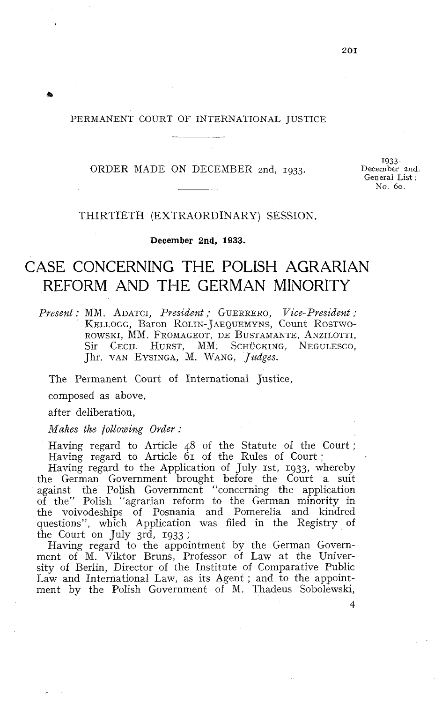### PERMANENT COURT OF INTERNATIONAL JUSTICE

### ORDER MADE ON DECEMBER znd, **1933.**

**1933,**  December and. General List : No. 60.

### THIRTIETH (EXTRAORDINARY) SESSION.

**December 2nd, 1933.** 

# CASE CONCERNING THE POLISH AGRARIAN REFORM AND THE GERMAN MINORITY

*Present* : *MM.* ADATCI, *President* ; GUERRERO, *Vice-President* ; KELLOGG, Baron ROLIN-JAEQUEMYNS, Count ROSTWO-ROWSKI, MM. FROMAGEOT, DE BUSTAMANTE, ANZILOTTI, Sir CECIL HURST, MM. SCHÜCKING, NEGULESCO, Jhr. VAN EYSINGA, M. WANG, *Judges.* 

The Permanent Court of International Justice,

composed as above,

after deliberation,

**8** 

*Makes the following Order* .

Having regard to Article 48 of the Statute of the Court ; Having regard to Article  $6r$  of the Rules of Court;

Having regard to the Application of July 1st, 1933, whereby the German Government brought before the Court a suit against the Polish Government "concerning the application of the" Polish "agrarian reform to the German minority in the voivodeships of Posnania and Pomerelia and kindred questions", which Application was filed in the Registry of the Court on July 3rd, 1933 ;

Having regard to the appointment by the German Government of M. Viktor Bruns, Professor of Law at the University of Berlin, Director of the Institute of Comparative Public Law and International Law, as its Agent ; and to the appointment by the Polish Government of M. Thadeus Sobolewski,

 $\boldsymbol{\Lambda}$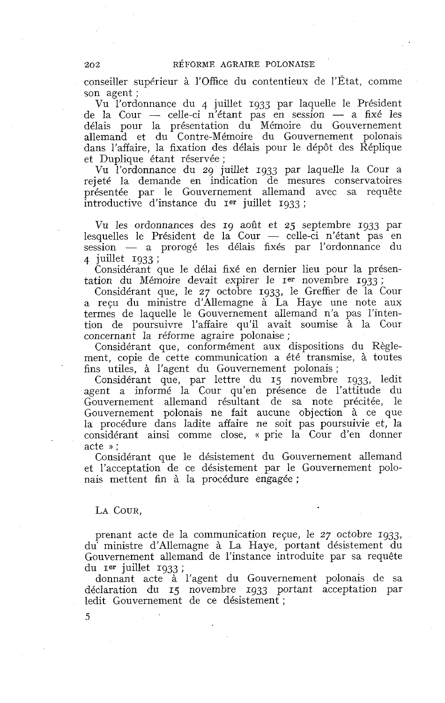### RÉFORME AGRAIRE POLONAISE

conseiller superieur à l'Office du contentieux de l'État, comme son agent ;

Vu l'ordonnance du 4 juillet 1933 par laquelle le Président son agent ;<br>
Vu l'ordonnance du 4 juillet 1933 par laquelle le Président<br>
de la Cour — celle-ci n'étant pas en session — a fixé les<br>
délois pour la présentation du Mémoire du Gouvernement délais pour la présentation du Mémoire du Gouvernement allemand et du Contre-Mémoire du Gouvernement polonais dans l'affaire, la fixation des délais pour le dépôt des Réplique et Duplique étant réservée ;

Vu l'ordonnance du 29 juillet 1933 par laquelle la Cour a rejeté la demande en indication de mesures conservatoires présentée par le Gouvernement allemand avec sa requête  $introductive$  d'instance du  $Ier$  juillet 1933;

Vu les ordonnances des 19 aoiît et **25** septembre 1933 par Vu les ordonnances des 19 août et 25 septembre 1933 par<br>lesquelles le Président de la Cour — celle-ci n'étant pas en Vu les ordonnances des 19 août et 25 septembre 1933 par<br>lesquelles le Président de la Cour — celle-ci n'étant pas en<br>session — a prorogé les délais fixés par l'ordonnance du<br>timillat 1933 : session — a prorogé les délais fixés par l'ordonnance du<br>4 juillet 1933 ;

Considérant que le délai fixé en dernier lieu pour la présentation du Mémoire devait expirer le Ier novembre 1933 ;

Considérant que, le 27 octobre 1933, le Greffier de la Cour a reçu du ministre d'Allemagne à La Haye une note aux termes de laquelle le Gouvernement allemand n'a pas l'intention de poursuivre l'affaire qu'il avait soumise à la Cour concernant la réforme agraire polonaise ;

Considérant que, conformément aux dispositions du Règlement, copie de cette communication a été transmise, à toutes fins utiles, à l'agent du Gouvernement polonais ;

Considérant que, par lettre du 15 novembre 1933, ledit agent a informé la Cour qu'en présence de l'attitude du Gouvernement allemand résultant de sa note précitée, le Gouvernement polonais ne fait aucune objection à ce que la procédure dans ladite affaire ne soit pas poursuivie et, la considérant ainsi comme close, « prie la Cour d'en donner acte » ;

Considérant que le désistement du Gouvernement allemand et l'acceptation de ce désistement par le Gouvernement polonais mettent fin à la procédure engagée ;

### LA COUR.

prenant acte de la communication reçue, le 27 octobre 1933, du' ministre d'Allemagne à La Haye, portant désistement du Gouvernement allemand de l'instance introduite par sa requête du rer juillet 1933;

donnant acte à l'agent du Gouvernement polonais de sa déclaration du 15 novembre 1933 portant acceptation par ledit Gouvernement de ce désistement ;

 $202$ 

5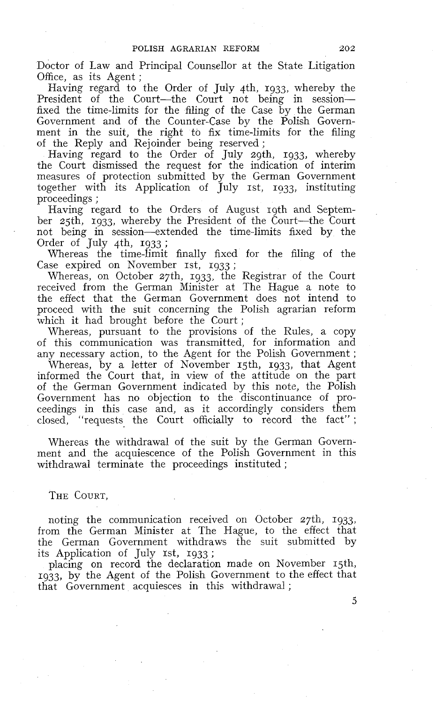Doctor of Law and Principal Counsellor at the State Litigation Office, as its Agent ;

Having regard to the Order of July 4th, 1933, whereby the President of the Court-the Court not being in sessionfixed the time-limits for the filing of the Case by the German Government and of the Counter-Case by the Polish Government in the suit, the right to fix time-limits for the filing of the Reply and Rejoinder being reserved ;

Having regard to the Order of July zgth, 1933, whereby the Court dismissed the request for the indication of interim measures of protection submitted by the German Government together with its Application of  $\tilde{J}$ uly 1st, 1933, instituting proceedings ;

Having regard to the Orders of August 19th and September 25th, 1933, whereby the President of the Court--the Court not being in session-extended the time-limits fixed by the Order of July  $4th$ , 1933;

Whereas the time-limit finally fixed for the filing of the Case expired on November 1st, 1933;

Whereas, on October 27th, 1933, the Registrar of the Court received from the German Minister at The Hague a note to the effect that the German Government does not intend to proceed with the suit concerning the Polish agrarian reform which it had brought before the Court;

Whereas, pursuant to the provisions of the Rules, a copy of this communication was transmitted, for information and any necessary action, to the Agent for the Polish Government ;

Whereas, by a letter of November 15th, 1933, that Agent informed the Court that, in view of the attitude on the part of the German Government indicated by this note, the Polish Government has no objection to the discontinuance of proceedings in this case and, as it accordingly considers them closed, "requests the Court officially to record the fact" ;

Whereas the withdrawal of the suit by the German Government and the acquiescence of the Polish Government in this withdrawal terminate the proceedings instituted ;

THE COURT,

noting the communication received on October 27th, 1933, from the German Minister at The Hague, to the effect that the German Government withdraws the suit submitted by its Application of July 1st, 1933;

placing on record the declaration made on Kovember 15th, 1933, by the Agent of the Polish Government to the effect that that Government acquiesces in this withdrawal ;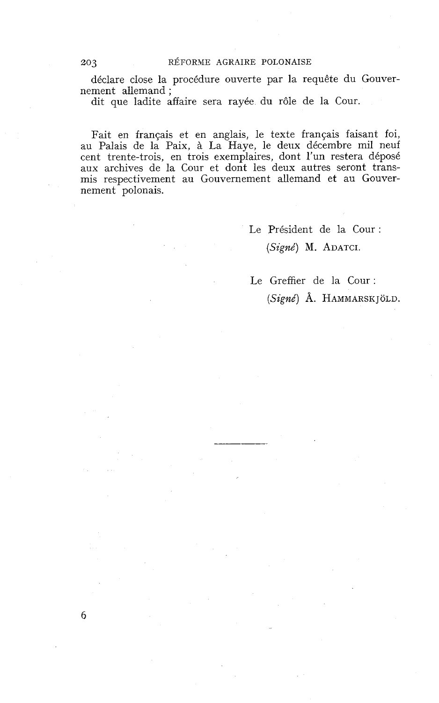déclare close la procédure ouverte par la requête du Gouvernement allemand ;

dit que ladite affaire sera rayée du rôle de la Cour.

Fait en français et en anglais, le texte français faisant foi, au Palais de la Paix, à La Haye, le deux décembre mil neuf cent trente-trois, en trois exemplaires, dont l'un restera déposé aux archives de la Cour et dont les deux autres seront transmis respectivement au Gouvernement allemand et au Gouvernement polonais.

> Le Président de la Cour : (Signé) M. **ADATCI.**

Le Greffier de la Cour : (Signé) A. **HAMMARSK** JOLD.

6